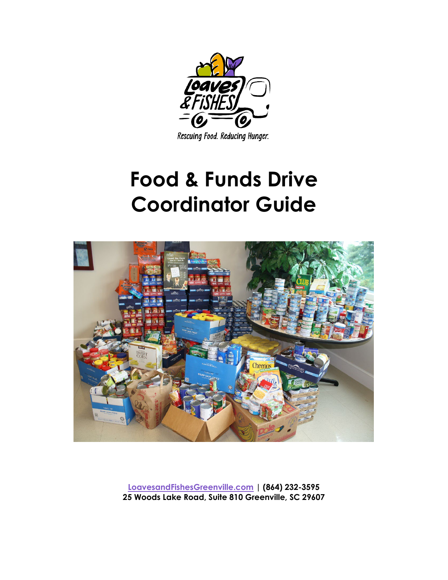

Rescuing Food. Reducing Hunger.

# **Food & Funds Drive Coordinator Guide**



**LoavesandFishesGreenville.com | (864) 232-3595 25 Woods Lake Road, Suite 810 Greenville, SC 29607**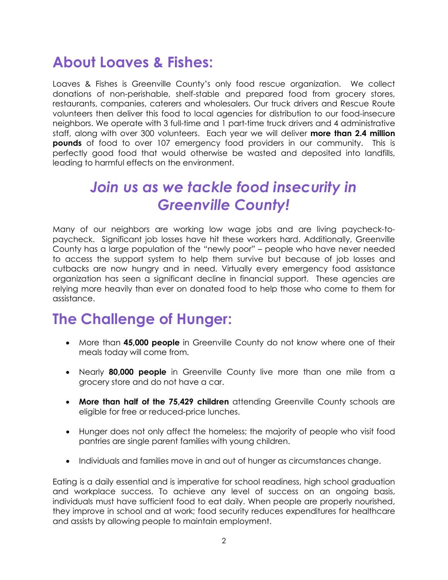### **About Loaves & Fishes:**

Loaves & Fishes is Greenville County's only food rescue organization. We collect donations of non-perishable, shelf-stable and prepared food from grocery stores, restaurants, companies, caterers and wholesalers. Our truck drivers and Rescue Route volunteers then deliver this food to local agencies for distribution to our food-insecure neighbors. We operate with 3 full-time and 1 part-time truck drivers and 4 administrative staff, along with over 300 volunteers. Each year we will deliver **more than 2.4 million pounds** of food to over 107 emergency food providers in our community. This is perfectly good food that would otherwise be wasted and deposited into landfills, leading to harmful effects on the environment.

### *Join us as we tackle food insecurity in Greenville County!*

Many of our neighbors are working low wage jobs and are living paycheck-topaycheck. Significant job losses have hit these workers hard. Additionally, Greenville County has a large population of the "newly poor" – people who have never needed to access the support system to help them survive but because of job losses and cutbacks are now hungry and in need. Virtually every emergency food assistance organization has seen a significant decline in financial support. These agencies are relying more heavily than ever on donated food to help those who come to them for assistance.

#### **The Challenge of Hunger:**

- More than **45,000 people** in Greenville County do not know where one of their meals today will come from.
- Nearly **80,000 people** in Greenville County live more than one mile from a grocery store and do not have a car.
- **More than half of the 75,429 children** attending Greenville County schools are eligible for free or reduced-price lunches.
- Hunger does not only affect the homeless; the majority of people who visit food pantries are single parent families with young children.
- Individuals and families move in and out of hunger as circumstances change.

Eating is a daily essential and is imperative for school readiness, high school graduation and workplace success. To achieve any level of success on an ongoing basis, individuals must have sufficient food to eat daily. When people are properly nourished, they improve in school and at work; food security reduces expenditures for healthcare and assists by allowing people to maintain employment.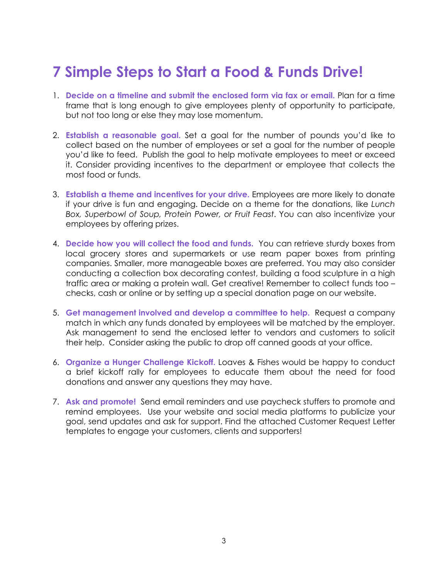# **7 Simple Steps to Start a Food & Funds Drive!**

- 1. **Decide on a timeline and submit the enclosed form via fax or email.** Plan for a time frame that is long enough to give employees plenty of opportunity to participate, but not too long or else they may lose momentum.
- 2. **Establish a reasonable goal.** Set a goal for the number of pounds you'd like to collect based on the number of employees or set a goal for the number of people you'd like to feed. Publish the goal to help motivate employees to meet or exceed it. Consider providing incentives to the department or employee that collects the most food or funds.
- 3. **Establish a theme and incentives for your drive.** Employees are more likely to donate if your drive is fun and engaging. Decide on a theme for the donations, like *Lunch Box, Superbowl of Soup, Protein Power, or Fruit Feast*. You can also incentivize your employees by offering prizes.
- 4. **Decide how you will collect the food and funds.** You can retrieve sturdy boxes from local grocery stores and supermarkets or use ream paper boxes from printing companies. Smaller, more manageable boxes are preferred. You may also consider conducting a collection box decorating contest, building a food sculpture in a high traffic area or making a protein wall. Get creative! Remember to collect funds too – checks, cash or online or by setting up a special donation page on our website.
- 5. **Get management involved and develop a committee to help.** Request a company match in which any funds donated by employees will be matched by the employer. Ask management to send the enclosed letter to vendors and customers to solicit their help. Consider asking the public to drop off canned goods at your office.
- 6. **Organize a Hunger Challenge Kickoff.** Loaves & Fishes would be happy to conduct a brief kickoff rally for employees to educate them about the need for food donations and answer any questions they may have.
- 7. **Ask and promote!** Send email reminders and use paycheck stuffers to promote and remind employees. Use your website and social media platforms to publicize your goal, send updates and ask for support. Find the attached Customer Request Letter templates to engage your customers, clients and supporters!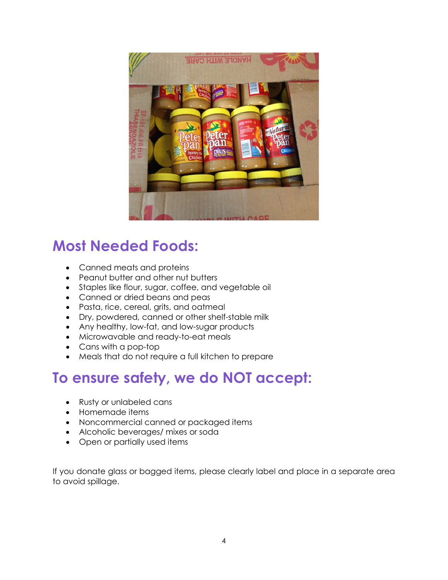

### **Most Needed Foods:**

- Canned meats and proteins
- Peanut butter and other nut butters
- Staples like flour, sugar, coffee, and vegetable oil
- Canned or dried beans and peas
- Pasta, rice, cereal, grits, and oatmeal
- Dry, powdered, canned or other shelf-stable milk
- Any healthy, low-fat, and low-sugar products
- Microwavable and ready-to-eat meals
- Cans with a pop-top
- Meals that do not require a full kitchen to prepare

## **To ensure safety, we do NOT accept:**

- Rusty or unlabeled cans
- Homemade items
- Noncommercial canned or packaged items
- Alcoholic beverages/ mixes or soda
- Open or partially used items

If you donate glass or bagged items, please clearly label and place in a separate area to avoid spillage.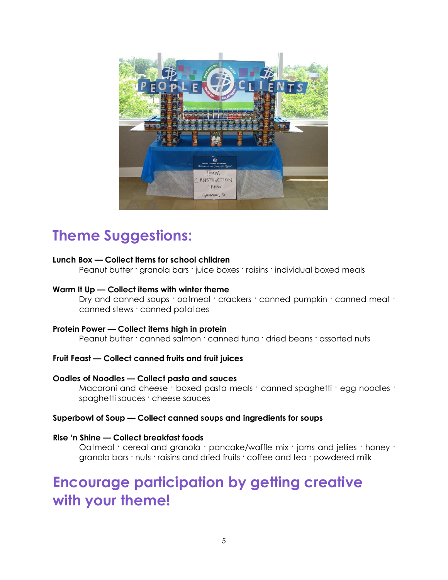

### **Theme Suggestions:**

#### **Lunch Box — Collect items for school children**

Peanut butter · granola bars · juice boxes · raisins · individual boxed meals

#### **Warm It Up — Collect items with winter theme**

Dry and canned soups · oatmeal · crackers · canned pumpkin · canned meat · canned stews · canned potatoes

#### **Protein Power — Collect items high in protein**

Peanut butter · canned salmon · canned tuna · dried beans · assorted nuts

#### **Fruit Feast — Collect canned fruits and fruit juices**

#### **Oodles of Noodles — Collect pasta and sauces**

Macaroni and cheese · boxed pasta meals · canned spaghetti · egg noodles · spaghetti sauces · cheese sauces

#### **Superbowl of Soup — Collect canned soups and ingredients for soups**

#### **Rise 'n Shine — Collect breakfast foods**

Oatmeal · cereal and granola · pancake/waffle mix · jams and jellies · honey · granola bars · nuts · raisins and dried fruits · coffee and tea · powdered milk

#### **Encourage participation by getting creative with your theme!**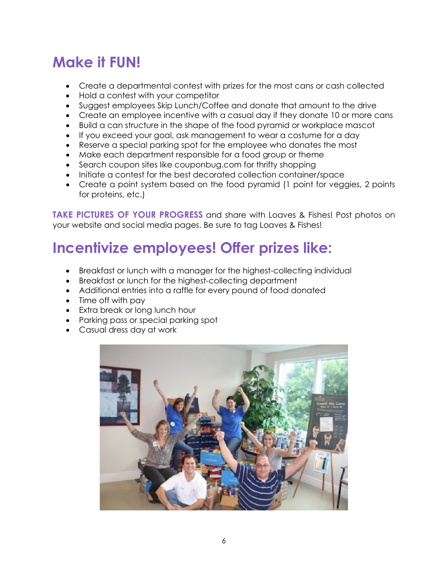# **Make it FUN!**

- Create a departmental contest with prizes for the most cans or cash collected
- Hold a contest with your competitor
- Suggest employees Skip Lunch/Coffee and donate that amount to the drive
- Create an employee incentive with a casual day if they donate 10 or more cans
- Build a can structure in the shape of the food pyramid or workplace mascot
- If you exceed your goal, ask management to wear a costume for a day
- Reserve a special parking spot for the employee who donates the most
- Make each department responsible for a food group or theme
- Search coupon sites like couponbug.com for thrifty shopping
- Initiate a contest for the best decorated collection container/space
- Create a point system based on the food pyramid (1 point for veggies, 2 points for proteins, etc.)

**TAKE PICTURES OF YOUR PROGRESS** and share with Loaves & Fishes! Post photos on your website and social media pages. Be sure to tag Loaves & Fishes!

# **Incentivize employees! Offer prizes like:**

- Breakfast or lunch with a manager for the highest-collecting individual
- Breakfast or lunch for the highest-collecting department
- Additional entries into a raffle for every pound of food donated
- Time off with pay
- Extra break or long lunch hour
- Parking pass or special parking spot
- Casual dress day at work

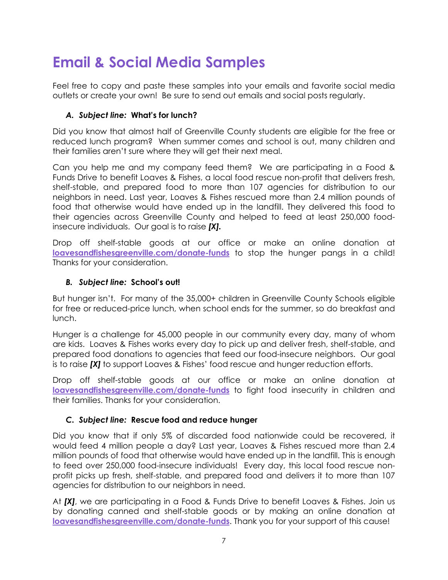# **Email & Social Media Samples**

Feel free to copy and paste these samples into your emails and favorite social media outlets or create your own! Be sure to send out emails and social posts regularly.

#### *A. Subject line:* **What's for lunch?**

Did you know that almost half of Greenville County students are eligible for the free or reduced lunch program? When summer comes and school is out, many children and their families aren't sure where they will get their next meal.

Can you help me and my company feed them? We are participating in a Food & Funds Drive to benefit Loaves & Fishes, a local food rescue non-profit that delivers fresh, shelf-stable, and prepared food to more than 107 agencies for distribution to our neighbors in need. Last year, Loaves & Fishes rescued more than 2.4 million pounds of food that otherwise would have ended up in the landfill. They delivered this food to their agencies across Greenville County and helped to feed at least 250,000 foodinsecure individuals. Our goal is to raise *[X].*

Drop off shelf-stable goods at our office or make an online donation at **loavesandfishesgreenville.com/donate-funds** to stop the hunger pangs in a child! Thanks for your consideration.

#### *B. Subject line:* **School's out!**

But hunger isn't. For many of the 35,000+ children in Greenville County Schools eligible for free or reduced-price lunch, when school ends for the summer, so do breakfast and lunch.

Hunger is a challenge for 45,000 people in our community every day, many of whom are kids. Loaves & Fishes works every day to pick up and deliver fresh, shelf-stable, and prepared food donations to agencies that feed our food-insecure neighbors. Our goal is to raise *[X]* to support Loaves & Fishes' food rescue and hunger reduction efforts.

Drop off shelf-stable goods at our office or make an online donation at **loavesandfishesgreenville.com/donate-funds** to fight food insecurity in children and their families. Thanks for your consideration.

#### *C. Subject line:* **Rescue food and reduce hunger**

Did you know that if only 5% of discarded food nationwide could be recovered, it would feed 4 million people a day? Last year, Loaves & Fishes rescued more than 2.4 million pounds of food that otherwise would have ended up in the landfill. This is enough to feed over 250,000 food-insecure individuals! Every day, this local food rescue nonprofit picks up fresh, shelf-stable, and prepared food and delivers it to more than 107 agencies for distribution to our neighbors in need.

At *[X]*, we are participating in a Food & Funds Drive to benefit Loaves & Fishes. Join us by donating canned and shelf-stable goods or by making an online donation at **loavesandfishesgreenville.com/donate-funds**. Thank you for your support of this cause!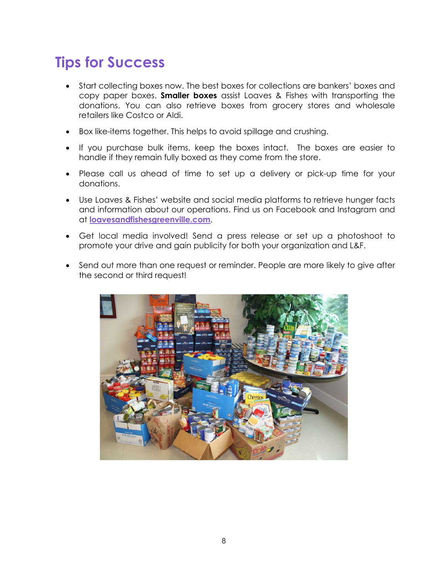# **Tips for Success**

- Start collecting boxes now. The best boxes for collections are bankers' boxes and copy paper boxes. **Smaller boxes** assist Loaves & Fishes with transporting the donations. You can also retrieve boxes from grocery stores and wholesale retailers like Costco or Aldi.
- Box like-items together. This helps to avoid spillage and crushing.
- If you purchase bulk items, keep the boxes intact. The boxes are easier to handle if they remain fully boxed as they come from the store.
- Please call us ahead of time to set up a delivery or pick-up time for your donations.
- Use Loaves & Fishes' website and social media platforms to retrieve hunger facts and information about our operations. Find us on Facebook and Instagram and at **loavesandfishesgreenville.com**.
- Get local media involved! Send a press release or set up a photoshoot to promote your drive and gain publicity for both your organization and L&F.
- Send out more than one request or reminder. People are more likely to give after the second or third request!

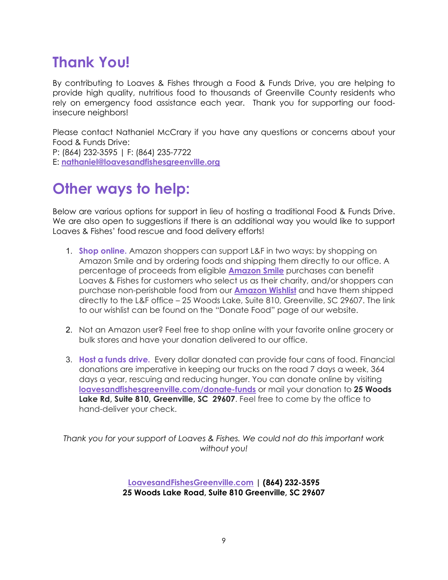# **Thank You!**

By contributing to Loaves & Fishes through a Food & Funds Drive, you are helping to provide high quality, nutritious food to thousands of Greenville County residents who rely on emergency food assistance each year. Thank you for supporting our foodinsecure neighbors!

Please contact Nathaniel McCrary if you have any questions or concerns about your Food & Funds Drive: P: (864) 232-3595 | F: (864) 235-7722 E: **[nathaniel@loavesandfishesgreenville.org](mailto:nathaniel@loavesandfishesgreenville.org)**

### **Other ways to help:**

Below are various options for support in lieu of hosting a traditional Food & Funds Drive. We are also open to suggestions if there is an additional way you would like to support Loaves & Fishes' food rescue and food delivery efforts!

- 1. **Shop online.** Amazon shoppers can support L&F in two ways: by shopping on Amazon Smile and by ordering foods and shipping them directly to our office. A percentage of proceeds from eligible **[Amazon Smile](https://smile.amazon.com/)** purchases can benefit Loaves & Fishes for customers who select us as their charity, and/or shoppers can purchase non-perishable food from our **[Amazon Wishlist](https://www.amazon.com/hz/wishlist/ls/1FCHJOPQBNO1Q/ref=nav_wishlist_lists_1?_encoding=UTF8&type=wishlist)** and have them shipped directly to the L&F office – 25 Woods Lake, Suite 810, Greenville, SC 29607. The link to our wishlist can be found on the "Donate Food" page of our website.
- 2. Not an Amazon user? Feel free to shop online with your favorite online grocery or bulk stores and have your donation delivered to our office.
- 3. **Host a funds drive.** Every dollar donated can provide four cans of food. Financial donations are imperative in keeping our trucks on the road 7 days a week, 364 days a year, rescuing and reducing hunger. You can donate online by visiting **loavesandfishesgreenville.com/donate-funds** or mail your donation to **25 Woods Lake Rd, Suite 810, Greenville, SC 29607**. Feel free to come by the office to hand-deliver your check.

*Thank you for your support of Loaves & Fishes. We could not do this important work without you!*

> **LoavesandFishesGreenville.com | (864) 232-3595 25 Woods Lake Road, Suite 810 Greenville, SC 29607**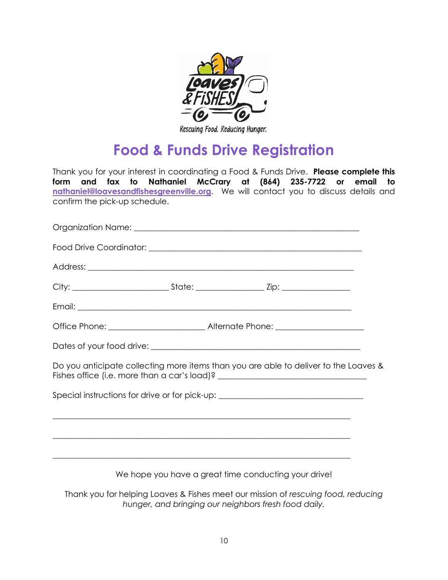

Rescuing Food. Reducing Hunger.

## **Food & Funds Drive Registration**

Thank you for your interest in coordinating a Food & Funds Drive. **Please complete this form and fax to Nathaniel McCrary at (864) 235-7722 or email to [nathaniel@loavesandfishesgreenville.org.](mailto:nathaniel@loavesandfishesgreenville.org)** We will contact you to discuss details and confirm the pick-up schedule.

| Fishes office (i.e. more than a car's load)? ___________________________________ | Do you anticipate collecting more items than you are able to deliver to the Loaves & |
|----------------------------------------------------------------------------------|--------------------------------------------------------------------------------------|
| Special instructions for drive or for pick-up: _________________________________ |                                                                                      |
|                                                                                  |                                                                                      |
| ,我们也不能在这里的时候,我们也不能在这里的时候,我们也不能会在这里,我们也不能会不能会不能会不能会不能会不能会不能会。""我们的是我们的,我们也不能会不能会不 |                                                                                      |
|                                                                                  |                                                                                      |

We hope you have a great time conducting your drive!

Thank you for helping Loaves & Fishes meet our mission of *rescuing food, reducing hunger, and bringing our neighbors fresh food daily.*